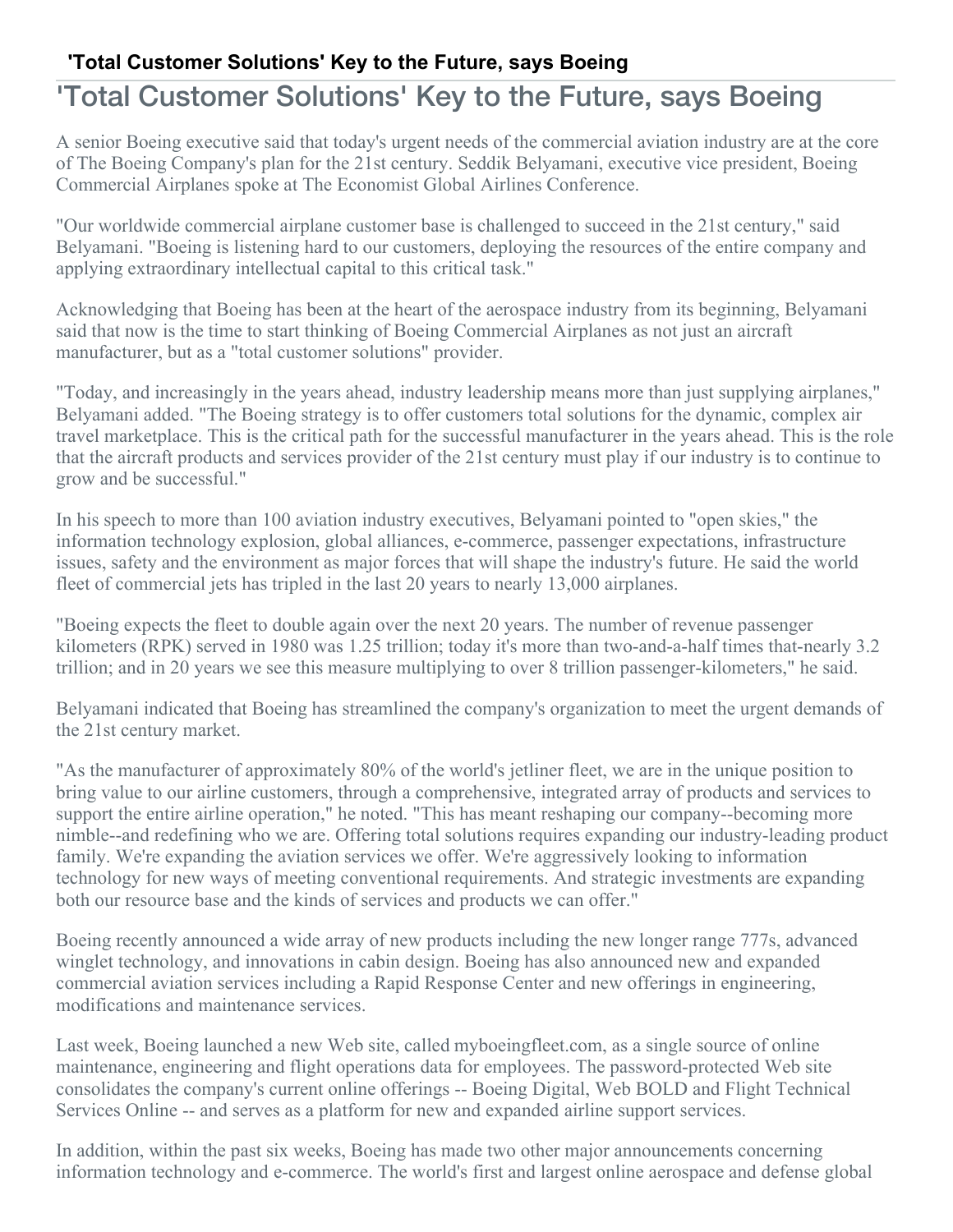## **'Total Customer Solutions' Key to the Future, says Boeing**

## 'Total Customer Solutions' Key to the Future, says Boeing

A senior Boeing executive said that today's urgent needs of the commercial aviation industry are at the core of The Boeing Company's plan for the 21st century. Seddik Belyamani, executive vice president, Boeing Commercial Airplanes spoke at The Economist Global Airlines Conference.

"Our worldwide commercial airplane customer base is challenged to succeed in the 21st century," said Belyamani. "Boeing is listening hard to our customers, deploying the resources of the entire company and applying extraordinary intellectual capital to this critical task."

Acknowledging that Boeing has been at the heart of the aerospace industry from its beginning, Belyamani said that now is the time to start thinking of Boeing Commercial Airplanes as not just an aircraft manufacturer, but as a "total customer solutions" provider.

"Today, and increasingly in the years ahead, industry leadership means more than just supplying airplanes," Belyamani added. "The Boeing strategy is to offer customers total solutions for the dynamic, complex air travel marketplace. This is the critical path for the successful manufacturer in the years ahead. This is the role that the aircraft products and services provider of the 21st century must play if our industry is to continue to grow and be successful."

In his speech to more than 100 aviation industry executives, Belyamani pointed to "open skies," the information technology explosion, global alliances, e-commerce, passenger expectations, infrastructure issues, safety and the environment as major forces that will shape the industry's future. He said the world fleet of commercial jets has tripled in the last 20 years to nearly 13,000 airplanes.

"Boeing expects the fleet to double again over the next 20 years. The number of revenue passenger kilometers (RPK) served in 1980 was 1.25 trillion; today it's more than two-and-a-half times that-nearly 3.2 trillion; and in 20 years we see this measure multiplying to over 8 trillion passenger-kilometers," he said.

Belyamani indicated that Boeing has streamlined the company's organization to meet the urgent demands of the 21st century market.

"As the manufacturer of approximately 80% of the world's jetliner fleet, we are in the unique position to bring value to our airline customers, through a comprehensive, integrated array of products and services to support the entire airline operation," he noted. "This has meant reshaping our company--becoming more nimble--and redefining who we are. Offering total solutions requires expanding our industry-leading product family. We're expanding the aviation services we offer. We're aggressively looking to information technology for new ways of meeting conventional requirements. And strategic investments are expanding both our resource base and the kinds of services and products we can offer."

Boeing recently announced a wide array of new products including the new longer range 777s, advanced winglet technology, and innovations in cabin design. Boeing has also announced new and expanded commercial aviation services including a Rapid Response Center and new offerings in engineering, modifications and maintenance services.

Last week, Boeing launched a new Web site, called myboeingfleet.com, as a single source of online maintenance, engineering and flight operations data for employees. The password-protected Web site consolidates the company's current online offerings -- Boeing Digital, Web BOLD and Flight Technical Services Online -- and serves as a platform for new and expanded airline support services.

In addition, within the past six weeks, Boeing has made two other major announcements concerning information technology and e-commerce. The world's first and largest online aerospace and defense global